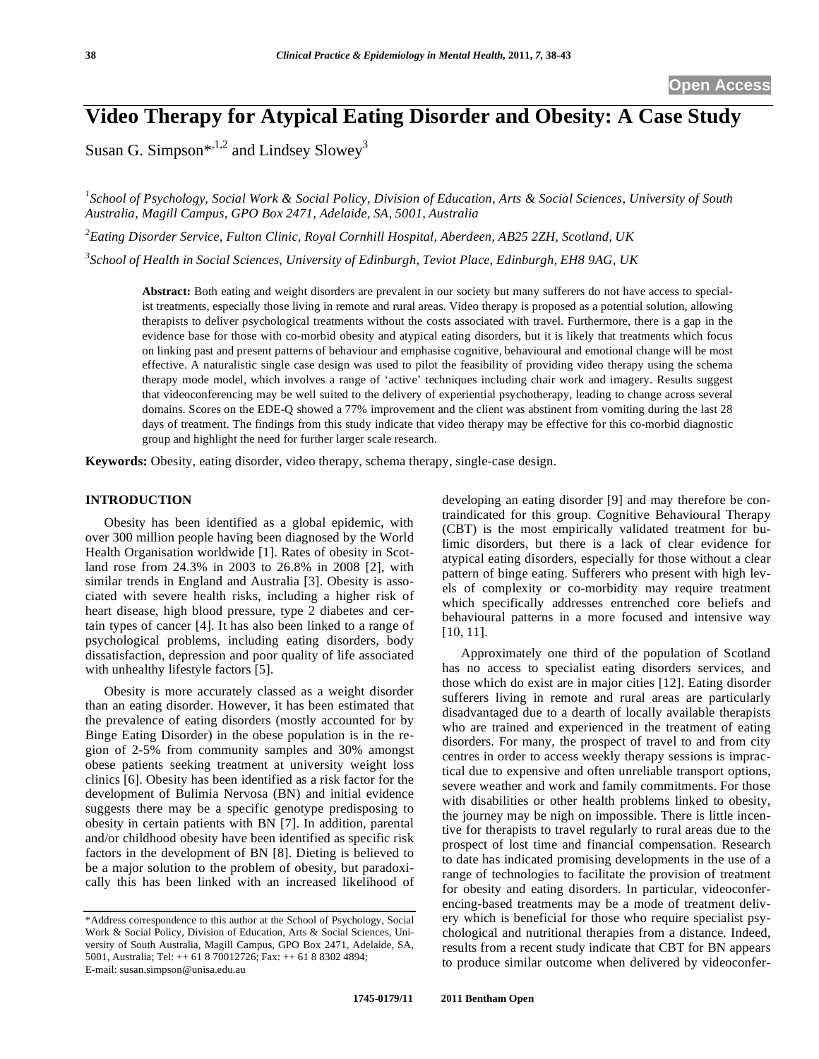# **Video Therapy for Atypical Eating Disorder and Obesity: A Case Study**

Susan G. Simpson\*,<sup>1,2</sup> and Lindsey Slowey<sup>3</sup>

*1 School of Psychology, Social Work & Social Policy, Division of Education, Arts & Social Sciences, University of South Australia, Magill Campus, GPO Box 2471, Adelaide, SA, 5001, Australia* 

*2 Eating Disorder Service, Fulton Clinic, Royal Cornhill Hospital, Aberdeen, AB25 2ZH, Scotland, UK* 

*3 School of Health in Social Sciences, University of Edinburgh, Teviot Place, Edinburgh, EH8 9AG, UK* 

**Abstract:** Both eating and weight disorders are prevalent in our society but many sufferers do not have access to specialist treatments, especially those living in remote and rural areas. Video therapy is proposed as a potential solution, allowing therapists to deliver psychological treatments without the costs associated with travel. Furthermore, there is a gap in the evidence base for those with co-morbid obesity and atypical eating disorders, but it is likely that treatments which focus on linking past and present patterns of behaviour and emphasise cognitive, behavioural and emotional change will be most effective. A naturalistic single case design was used to pilot the feasibility of providing video therapy using the schema therapy mode model, which involves a range of 'active' techniques including chair work and imagery. Results suggest that videoconferencing may be well suited to the delivery of experiential psychotherapy, leading to change across several domains. Scores on the EDE-Q showed a 77% improvement and the client was abstinent from vomiting during the last 28 days of treatment. The findings from this study indicate that video therapy may be effective for this co-morbid diagnostic group and highlight the need for further larger scale research.

**Keywords:** Obesity, eating disorder, video therapy, schema therapy, single-case design.

# **INTRODUCTION**

Obesity has been identified as a global epidemic, with over 300 million people having been diagnosed by the World Health Organisation worldwide [1]. Rates of obesity in Scotland rose from 24.3% in 2003 to 26.8% in 2008 [2], with similar trends in England and Australia [3]. Obesity is associated with severe health risks, including a higher risk of heart disease, high blood pressure, type 2 diabetes and certain types of cancer [4]. It has also been linked to a range of psychological problems, including eating disorders, body dissatisfaction, depression and poor quality of life associated with unhealthy lifestyle factors [5].

Obesity is more accurately classed as a weight disorder than an eating disorder. However, it has been estimated that the prevalence of eating disorders (mostly accounted for by Binge Eating Disorder) in the obese population is in the region of 2-5% from community samples and 30% amongst obese patients seeking treatment at university weight loss clinics [6]. Obesity has been identified as a risk factor for the development of Bulimia Nervosa (BN) and initial evidence suggests there may be a specific genotype predisposing to obesity in certain patients with BN [7]. In addition, parental and/or childhood obesity have been identified as specific risk factors in the development of BN [8]. Dieting is believed to be a major solution to the problem of obesity, but paradoxically this has been linked with an increased likelihood of developing an eating disorder [9] and may therefore be contraindicated for this group. Cognitive Behavioural Therapy (CBT) is the most empirically validated treatment for bulimic disorders, but there is a lack of clear evidence for atypical eating disorders, especially for those without a clear pattern of binge eating. Sufferers who present with high levels of complexity or co-morbidity may require treatment which specifically addresses entrenched core beliefs and behavioural patterns in a more focused and intensive way [10, 11].

Approximately one third of the population of Scotland has no access to specialist eating disorders services, and those which do exist are in major cities [12]. Eating disorder sufferers living in remote and rural areas are particularly disadvantaged due to a dearth of locally available therapists who are trained and experienced in the treatment of eating disorders. For many, the prospect of travel to and from city centres in order to access weekly therapy sessions is impractical due to expensive and often unreliable transport options, severe weather and work and family commitments. For those with disabilities or other health problems linked to obesity, the journey may be nigh on impossible. There is little incentive for therapists to travel regularly to rural areas due to the prospect of lost time and financial compensation. Research to date has indicated promising developments in the use of a range of technologies to facilitate the provision of treatment for obesity and eating disorders. In particular, videoconferencing-based treatments may be a mode of treatment delivery which is beneficial for those who require specialist psychological and nutritional therapies from a distance. Indeed, results from a recent study indicate that CBT for BN appears to produce similar outcome when delivered by videoconfer-

<sup>\*</sup>Address correspondence to this author at the School of Psychology, Social Work & Social Policy, Division of Education, Arts & Social Sciences, University of South Australia, Magill Campus, GPO Box 2471, Adelaide, SA, 5001, Australia; Tel: ++ 61 8 70012726; Fax: ++ 61 8 8302 4894; E-mail: susan.simpson@unisa.edu.au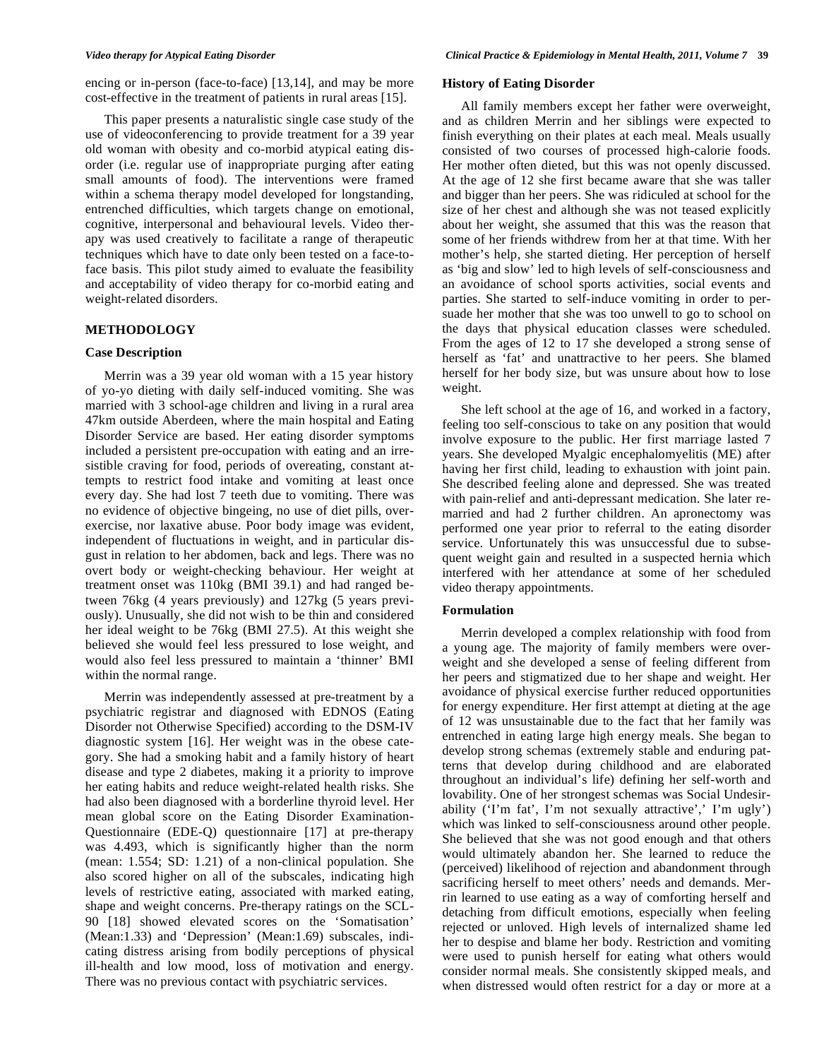encing or in-person (face-to-face) [13,14], and may be more cost-effective in the treatment of patients in rural areas [15].

This paper presents a naturalistic single case study of the use of videoconferencing to provide treatment for a 39 year old woman with obesity and co-morbid atypical eating disorder (i.e. regular use of inappropriate purging after eating small amounts of food). The interventions were framed within a schema therapy model developed for longstanding, entrenched difficulties, which targets change on emotional, cognitive, interpersonal and behavioural levels. Video therapy was used creatively to facilitate a range of therapeutic techniques which have to date only been tested on a face-toface basis. This pilot study aimed to evaluate the feasibility and acceptability of video therapy for co-morbid eating and weight-related disorders.

# **METHODOLOGY**

# **Case Description**

Merrin was a 39 year old woman with a 15 year history of yo-yo dieting with daily self-induced vomiting. She was married with 3 school-age children and living in a rural area 47km outside Aberdeen, where the main hospital and Eating Disorder Service are based. Her eating disorder symptoms included a persistent pre-occupation with eating and an irresistible craving for food, periods of overeating, constant attempts to restrict food intake and vomiting at least once every day. She had lost 7 teeth due to vomiting. There was no evidence of objective bingeing, no use of diet pills, overexercise, nor laxative abuse. Poor body image was evident, independent of fluctuations in weight, and in particular disgust in relation to her abdomen, back and legs. There was no overt body or weight-checking behaviour. Her weight at treatment onset was 110kg (BMI 39.1) and had ranged between 76kg (4 years previously) and 127kg (5 years previously). Unusually, she did not wish to be thin and considered her ideal weight to be 76kg (BMI 27.5). At this weight she believed she would feel less pressured to lose weight, and would also feel less pressured to maintain a 'thinner' BMI within the normal range.

Merrin was independently assessed at pre-treatment by a psychiatric registrar and diagnosed with EDNOS (Eating Disorder not Otherwise Specified) according to the DSM-IV diagnostic system [16]. Her weight was in the obese category. She had a smoking habit and a family history of heart disease and type 2 diabetes, making it a priority to improve her eating habits and reduce weight-related health risks. She had also been diagnosed with a borderline thyroid level. Her mean global score on the Eating Disorder Examination-Questionnaire (EDE-Q) questionnaire [17] at pre-therapy was 4.493, which is significantly higher than the norm (mean: 1.554; SD: 1.21) of a non-clinical population. She also scored higher on all of the subscales, indicating high levels of restrictive eating, associated with marked eating, shape and weight concerns. Pre-therapy ratings on the SCL-90 [18] showed elevated scores on the 'Somatisation' (Mean:1.33) and 'Depression' (Mean:1.69) subscales, indicating distress arising from bodily perceptions of physical ill-health and low mood, loss of motivation and energy. There was no previous contact with psychiatric services.

#### **History of Eating Disorder**

All family members except her father were overweight, and as children Merrin and her siblings were expected to finish everything on their plates at each meal. Meals usually consisted of two courses of processed high-calorie foods. Her mother often dieted, but this was not openly discussed. At the age of 12 she first became aware that she was taller and bigger than her peers. She was ridiculed at school for the size of her chest and although she was not teased explicitly about her weight, she assumed that this was the reason that some of her friends withdrew from her at that time. With her mother's help, she started dieting. Her perception of herself as 'big and slow' led to high levels of self-consciousness and an avoidance of school sports activities, social events and parties. She started to self-induce vomiting in order to persuade her mother that she was too unwell to go to school on the days that physical education classes were scheduled. From the ages of 12 to 17 she developed a strong sense of herself as 'fat' and unattractive to her peers. She blamed herself for her body size, but was unsure about how to lose weight.

She left school at the age of 16, and worked in a factory, feeling too self-conscious to take on any position that would involve exposure to the public. Her first marriage lasted 7 years. She developed Myalgic encephalomyelitis (ME) after having her first child, leading to exhaustion with joint pain. She described feeling alone and depressed. She was treated with pain-relief and anti-depressant medication. She later remarried and had 2 further children. An apronectomy was performed one year prior to referral to the eating disorder service. Unfortunately this was unsuccessful due to subsequent weight gain and resulted in a suspected hernia which interfered with her attendance at some of her scheduled video therapy appointments.

# **Formulation**

Merrin developed a complex relationship with food from a young age. The majority of family members were overweight and she developed a sense of feeling different from her peers and stigmatized due to her shape and weight. Her avoidance of physical exercise further reduced opportunities for energy expenditure. Her first attempt at dieting at the age of 12 was unsustainable due to the fact that her family was entrenched in eating large high energy meals. She began to develop strong schemas (extremely stable and enduring patterns that develop during childhood and are elaborated throughout an individual's life) defining her self-worth and lovability. One of her strongest schemas was Social Undesirability ('I'm fat', I'm not sexually attractive',' I'm ugly') which was linked to self-consciousness around other people. She believed that she was not good enough and that others would ultimately abandon her. She learned to reduce the (perceived) likelihood of rejection and abandonment through sacrificing herself to meet others' needs and demands. Merrin learned to use eating as a way of comforting herself and detaching from difficult emotions, especially when feeling rejected or unloved. High levels of internalized shame led her to despise and blame her body. Restriction and vomiting were used to punish herself for eating what others would consider normal meals. She consistently skipped meals, and when distressed would often restrict for a day or more at a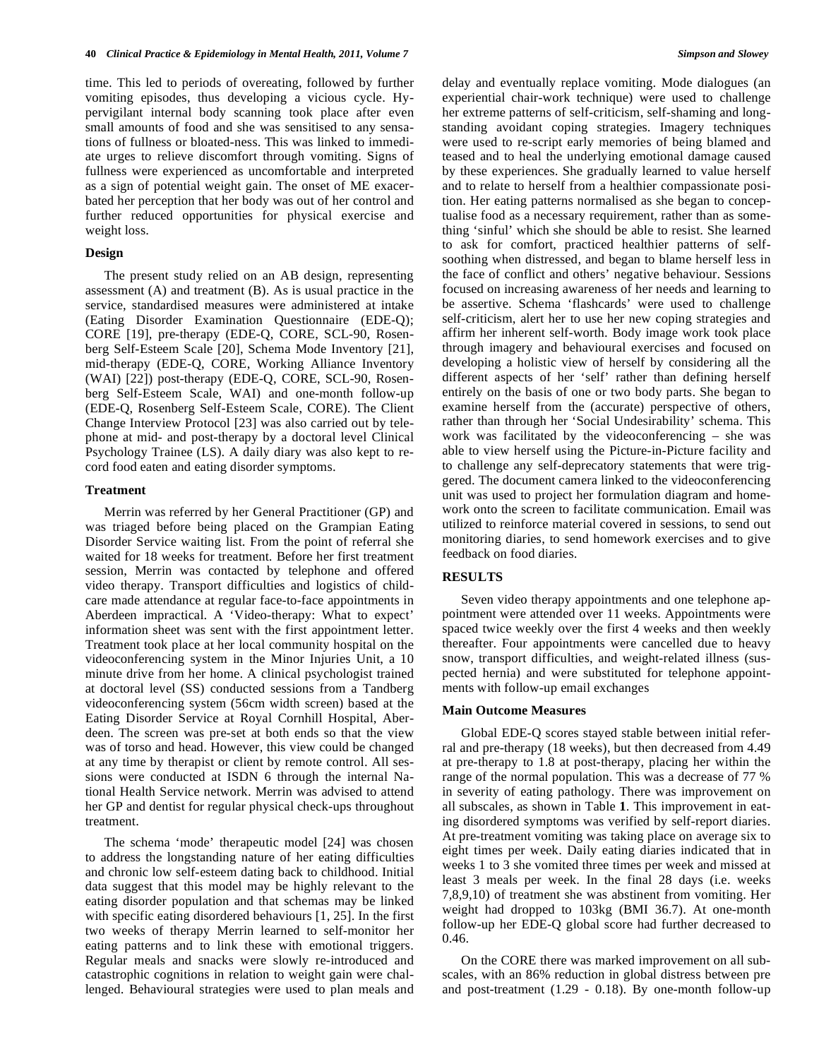time. This led to periods of overeating, followed by further vomiting episodes, thus developing a vicious cycle. Hypervigilant internal body scanning took place after even small amounts of food and she was sensitised to any sensations of fullness or bloated-ness. This was linked to immediate urges to relieve discomfort through vomiting. Signs of fullness were experienced as uncomfortable and interpreted as a sign of potential weight gain. The onset of ME exacerbated her perception that her body was out of her control and further reduced opportunities for physical exercise and weight loss.

#### **Design**

The present study relied on an AB design, representing assessment (A) and treatment (B). As is usual practice in the service, standardised measures were administered at intake (Eating Disorder Examination Questionnaire (EDE-Q); CORE [19], pre-therapy (EDE-Q, CORE, SCL-90, Rosenberg Self-Esteem Scale [20], Schema Mode Inventory [21], mid-therapy (EDE-Q, CORE, Working Alliance Inventory (WAI) [22]) post-therapy (EDE-Q, CORE, SCL-90, Rosenberg Self-Esteem Scale, WAI) and one-month follow-up (EDE-Q, Rosenberg Self-Esteem Scale, CORE). The Client Change Interview Protocol [23] was also carried out by telephone at mid- and post-therapy by a doctoral level Clinical Psychology Trainee (LS). A daily diary was also kept to record food eaten and eating disorder symptoms.

#### **Treatment**

Merrin was referred by her General Practitioner (GP) and was triaged before being placed on the Grampian Eating Disorder Service waiting list. From the point of referral she waited for 18 weeks for treatment. Before her first treatment session, Merrin was contacted by telephone and offered video therapy. Transport difficulties and logistics of childcare made attendance at regular face-to-face appointments in Aberdeen impractical. A 'Video-therapy: What to expect' information sheet was sent with the first appointment letter. Treatment took place at her local community hospital on the videoconferencing system in the Minor Injuries Unit, a 10 minute drive from her home. A clinical psychologist trained at doctoral level (SS) conducted sessions from a Tandberg videoconferencing system (56cm width screen) based at the Eating Disorder Service at Royal Cornhill Hospital, Aberdeen. The screen was pre-set at both ends so that the view was of torso and head. However, this view could be changed at any time by therapist or client by remote control. All sessions were conducted at ISDN 6 through the internal National Health Service network. Merrin was advised to attend her GP and dentist for regular physical check-ups throughout treatment.

The schema 'mode' therapeutic model [24] was chosen to address the longstanding nature of her eating difficulties and chronic low self-esteem dating back to childhood. Initial data suggest that this model may be highly relevant to the eating disorder population and that schemas may be linked with specific eating disordered behaviours [1, 25]. In the first two weeks of therapy Merrin learned to self-monitor her eating patterns and to link these with emotional triggers. Regular meals and snacks were slowly re-introduced and catastrophic cognitions in relation to weight gain were challenged. Behavioural strategies were used to plan meals and delay and eventually replace vomiting. Mode dialogues (an experiential chair-work technique) were used to challenge her extreme patterns of self-criticism, self-shaming and longstanding avoidant coping strategies. Imagery techniques were used to re-script early memories of being blamed and teased and to heal the underlying emotional damage caused by these experiences. She gradually learned to value herself and to relate to herself from a healthier compassionate position. Her eating patterns normalised as she began to conceptualise food as a necessary requirement, rather than as something 'sinful' which she should be able to resist. She learned to ask for comfort, practiced healthier patterns of selfsoothing when distressed, and began to blame herself less in the face of conflict and others' negative behaviour. Sessions focused on increasing awareness of her needs and learning to be assertive. Schema 'flashcards' were used to challenge self-criticism, alert her to use her new coping strategies and affirm her inherent self-worth. Body image work took place through imagery and behavioural exercises and focused on developing a holistic view of herself by considering all the different aspects of her 'self' rather than defining herself entirely on the basis of one or two body parts. She began to examine herself from the (accurate) perspective of others, rather than through her 'Social Undesirability' schema. This work was facilitated by the videoconferencing – she was able to view herself using the Picture-in-Picture facility and to challenge any self-deprecatory statements that were triggered. The document camera linked to the videoconferencing unit was used to project her formulation diagram and homework onto the screen to facilitate communication. Email was utilized to reinforce material covered in sessions, to send out monitoring diaries, to send homework exercises and to give feedback on food diaries.

# **RESULTS**

Seven video therapy appointments and one telephone appointment were attended over 11 weeks. Appointments were spaced twice weekly over the first 4 weeks and then weekly thereafter. Four appointments were cancelled due to heavy snow, transport difficulties, and weight-related illness (suspected hernia) and were substituted for telephone appointments with follow-up email exchanges

#### **Main Outcome Measures**

Global EDE-Q scores stayed stable between initial referral and pre-therapy (18 weeks), but then decreased from 4.49 at pre-therapy to 1.8 at post-therapy, placing her within the range of the normal population. This was a decrease of 77 % in severity of eating pathology. There was improvement on all subscales, as shown in Table **1**. This improvement in eating disordered symptoms was verified by self-report diaries. At pre-treatment vomiting was taking place on average six to eight times per week. Daily eating diaries indicated that in weeks 1 to 3 she vomited three times per week and missed at least 3 meals per week. In the final 28 days (i.e. weeks 7,8,9,10) of treatment she was abstinent from vomiting. Her weight had dropped to 103kg (BMI 36.7). At one-month follow-up her EDE-Q global score had further decreased to 0.46.

On the CORE there was marked improvement on all subscales, with an 86% reduction in global distress between pre and post-treatment (1.29 - 0.18). By one-month follow-up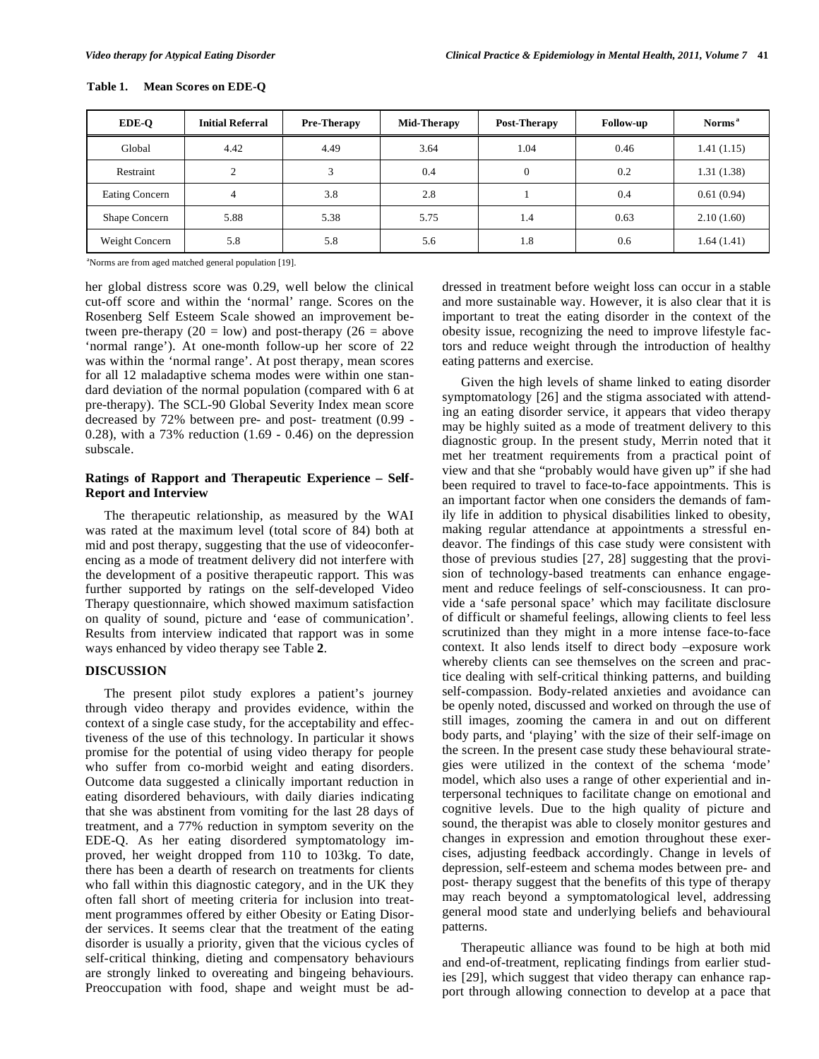| <b>EDE-O</b>   | <b>Initial Referral</b> | <b>Pre-Therapy</b> | <b>Mid-Therapy</b> | Post-Therapy | Follow-up | Norms <sup>a</sup> |
|----------------|-------------------------|--------------------|--------------------|--------------|-----------|--------------------|
| Global         | 4.42                    | 4.49               | 3.64               | 1.04         | 0.46      | 1.41(1.15)         |
| Restraint      | $\gamma$                | $\mathbf{c}$       | 0.4                | $\mathbf{0}$ | 0.2       | 1.31(1.38)         |
| Eating Concern | 4                       | 3.8                | 2.8                |              | 0.4       | 0.61(0.94)         |
| Shape Concern  | 5.88                    | 5.38               | 5.75               | 1.4          | 0.63      | 2.10(1.60)         |
| Weight Concern | 5.8                     | 5.8                | 5.6                | 1.8          | 0.6       | 1.64(1.41)         |

#### **Table 1. Mean Scores on EDE-Q**

<sup>a</sup>Norms are from aged matched general population [19].

her global distress score was 0.29, well below the clinical cut-off score and within the 'normal' range. Scores on the Rosenberg Self Esteem Scale showed an improvement between pre-therapy (20 = low) and post-therapy (26 = above 'normal range'). At one-month follow-up her score of 22 was within the 'normal range'. At post therapy, mean scores for all 12 maladaptive schema modes were within one standard deviation of the normal population (compared with 6 at pre-therapy). The SCL-90 Global Severity Index mean score decreased by 72% between pre- and post- treatment (0.99 - 0.28), with a 73% reduction  $(1.69 - 0.46)$  on the depression subscale.

# **Ratings of Rapport and Therapeutic Experience – Self-Report and Interview**

The therapeutic relationship, as measured by the WAI was rated at the maximum level (total score of 84) both at mid and post therapy, suggesting that the use of videoconferencing as a mode of treatment delivery did not interfere with the development of a positive therapeutic rapport. This was further supported by ratings on the self-developed Video Therapy questionnaire, which showed maximum satisfaction on quality of sound, picture and 'ease of communication'. Results from interview indicated that rapport was in some ways enhanced by video therapy see Table **2**.

#### **DISCUSSION**

The present pilot study explores a patient's journey through video therapy and provides evidence, within the context of a single case study, for the acceptability and effectiveness of the use of this technology. In particular it shows promise for the potential of using video therapy for people who suffer from co-morbid weight and eating disorders. Outcome data suggested a clinically important reduction in eating disordered behaviours, with daily diaries indicating that she was abstinent from vomiting for the last 28 days of treatment, and a 77% reduction in symptom severity on the EDE-Q. As her eating disordered symptomatology improved, her weight dropped from 110 to 103kg. To date, there has been a dearth of research on treatments for clients who fall within this diagnostic category, and in the UK they often fall short of meeting criteria for inclusion into treatment programmes offered by either Obesity or Eating Disorder services. It seems clear that the treatment of the eating disorder is usually a priority, given that the vicious cycles of self-critical thinking, dieting and compensatory behaviours are strongly linked to overeating and bingeing behaviours. Preoccupation with food, shape and weight must be addressed in treatment before weight loss can occur in a stable and more sustainable way. However, it is also clear that it is important to treat the eating disorder in the context of the obesity issue, recognizing the need to improve lifestyle factors and reduce weight through the introduction of healthy eating patterns and exercise.

Given the high levels of shame linked to eating disorder symptomatology [26] and the stigma associated with attending an eating disorder service, it appears that video therapy may be highly suited as a mode of treatment delivery to this diagnostic group. In the present study, Merrin noted that it met her treatment requirements from a practical point of view and that she "probably would have given up" if she had been required to travel to face-to-face appointments. This is an important factor when one considers the demands of family life in addition to physical disabilities linked to obesity, making regular attendance at appointments a stressful endeavor. The findings of this case study were consistent with those of previous studies [27, 28] suggesting that the provision of technology-based treatments can enhance engagement and reduce feelings of self-consciousness. It can provide a 'safe personal space' which may facilitate disclosure of difficult or shameful feelings, allowing clients to feel less scrutinized than they might in a more intense face-to-face context. It also lends itself to direct body –exposure work whereby clients can see themselves on the screen and practice dealing with self-critical thinking patterns, and building self-compassion. Body-related anxieties and avoidance can be openly noted, discussed and worked on through the use of still images, zooming the camera in and out on different body parts, and 'playing' with the size of their self-image on the screen. In the present case study these behavioural strategies were utilized in the context of the schema 'mode' model, which also uses a range of other experiential and interpersonal techniques to facilitate change on emotional and cognitive levels. Due to the high quality of picture and sound, the therapist was able to closely monitor gestures and changes in expression and emotion throughout these exercises, adjusting feedback accordingly. Change in levels of depression, self-esteem and schema modes between pre- and post- therapy suggest that the benefits of this type of therapy may reach beyond a symptomatological level, addressing general mood state and underlying beliefs and behavioural patterns.

Therapeutic alliance was found to be high at both mid and end-of-treatment, replicating findings from earlier studies [29], which suggest that video therapy can enhance rapport through allowing connection to develop at a pace that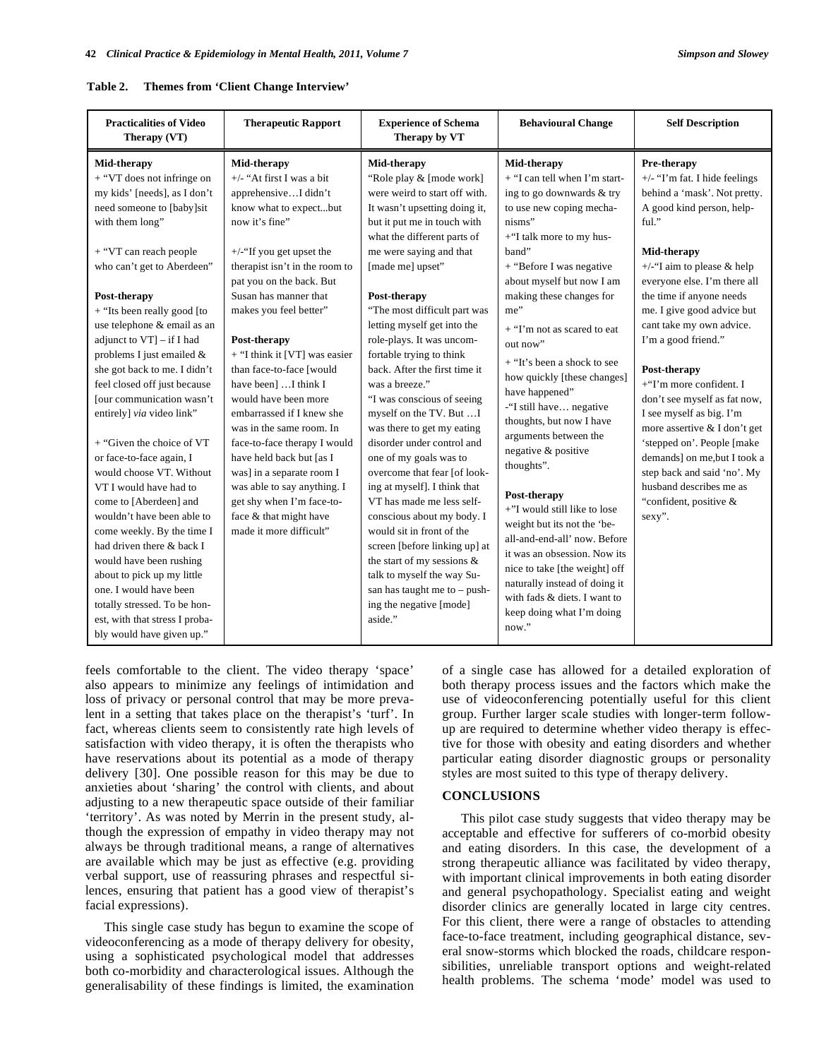| <b>Practicalities of Video</b><br>Therapy (VT)                                                                                                                                                                                                                                                                                                                                                                                                                                                                                                                           | <b>Therapeutic Rapport</b>                                                                                                                                                                                                                                                                                                                                                                                                                                                                                                                                                    | <b>Experience of Schema</b><br>Therapy by VT                                                                                                                                                                                                                                                                                                                                                                                                                                                                                                                                                                                      | <b>Behavioural Change</b>                                                                                                                                                                                                                                                                                                                                                                                                                                                                                            | <b>Self Description</b>                                                                                                                                                                                                                                                                                                                                                                                                                                                                                                                                                           |
|--------------------------------------------------------------------------------------------------------------------------------------------------------------------------------------------------------------------------------------------------------------------------------------------------------------------------------------------------------------------------------------------------------------------------------------------------------------------------------------------------------------------------------------------------------------------------|-------------------------------------------------------------------------------------------------------------------------------------------------------------------------------------------------------------------------------------------------------------------------------------------------------------------------------------------------------------------------------------------------------------------------------------------------------------------------------------------------------------------------------------------------------------------------------|-----------------------------------------------------------------------------------------------------------------------------------------------------------------------------------------------------------------------------------------------------------------------------------------------------------------------------------------------------------------------------------------------------------------------------------------------------------------------------------------------------------------------------------------------------------------------------------------------------------------------------------|----------------------------------------------------------------------------------------------------------------------------------------------------------------------------------------------------------------------------------------------------------------------------------------------------------------------------------------------------------------------------------------------------------------------------------------------------------------------------------------------------------------------|-----------------------------------------------------------------------------------------------------------------------------------------------------------------------------------------------------------------------------------------------------------------------------------------------------------------------------------------------------------------------------------------------------------------------------------------------------------------------------------------------------------------------------------------------------------------------------------|
| Mid-therapy<br>+ "VT does not infringe on<br>my kids' [needs], as I don't<br>need someone to [baby]sit<br>with them long"<br>+ "VT can reach people<br>who can't get to Aberdeen"<br>Post-therapy<br>$+$ "Its been really good [to]<br>use telephone & email as an<br>adjunct to $VT$ ] – if I had<br>problems I just emailed &<br>she got back to me. I didn't<br>feel closed off just because<br>[our communication wasn't<br>entirely] via video link"<br>+ "Given the choice of VT<br>or face-to-face again, I<br>would choose VT. Without<br>VT I would have had to | Mid-therapy<br>$+/-$ "At first I was a bit<br>apprehensiveI didn't<br>know what to expectbut<br>now it's fine"<br>$+/-$ "If you get upset the<br>therapist isn't in the room to<br>pat you on the back. But<br>Susan has manner that<br>makes you feel better"<br>Post-therapy<br>+ "I think it [VT] was easier<br>than face-to-face [would<br>have been 1 I think I<br>would have been more<br>embarrassed if I knew she<br>was in the same room. In<br>face-to-face therapy I would<br>have held back but [as I<br>was] in a separate room I<br>was able to say anything. I | Mid-therapy<br>"Role play & [mode work]<br>were weird to start off with.<br>It wasn't upsetting doing it,<br>but it put me in touch with<br>what the different parts of<br>me were saying and that<br>[made me] upset"<br>Post-therapy<br>"The most difficult part was<br>letting myself get into the<br>role-plays. It was uncom-<br>fortable trying to think<br>back. After the first time it<br>was a breeze."<br>"I was conscious of seeing<br>myself on the TV. But  I<br>was there to get my eating<br>disorder under control and<br>one of my goals was to<br>overcome that fear [of look-<br>ing at myself]. I think that | Mid-therapy<br>$+$ "I can tell when I'm start-<br>ing to go downwards & try<br>to use new coping mecha-<br>nisms"<br>+"I talk more to my hus-<br>band"<br>+ "Before I was negative<br>about myself but now I am<br>making these changes for<br>me"<br>$+$ "I'm not as scared to eat<br>out now"<br>+ "It's been a shock to see<br>how quickly [these changes]<br>have happened"<br>-"I still have negative<br>thoughts, but now I have<br>arguments between the<br>negative & positive<br>thoughts".<br>Post-therapy | Pre-therapy<br>+/- "I'm fat. I hide feelings<br>behind a 'mask'. Not pretty.<br>A good kind person, help-<br>ful."<br>Mid-therapy<br>$+/-$ "I aim to please & help<br>everyone else. I'm there all<br>the time if anyone needs<br>me. I give good advice but<br>cant take my own advice.<br>I'm a good friend."<br>Post-therapy<br>$+$ "I'm more confident. I<br>don't see myself as fat now,<br>I see myself as big. I'm<br>more assertive & I don't get<br>'stepped on'. People [make<br>demands] on me, but I took a<br>step back and said 'no'. My<br>husband describes me as |
| come to [Aberdeen] and<br>wouldn't have been able to<br>come weekly. By the time I<br>had driven there & back I<br>would have been rushing<br>about to pick up my little<br>one. I would have been<br>totally stressed. To be hon-<br>est, with that stress I proba-<br>bly would have given up."                                                                                                                                                                                                                                                                        | get shy when I'm face-to-<br>face & that might have<br>made it more difficult"                                                                                                                                                                                                                                                                                                                                                                                                                                                                                                | VT has made me less self-<br>conscious about my body. I<br>would sit in front of the<br>screen [before linking up] at<br>the start of my sessions &<br>talk to myself the way Su-<br>san has taught me to $-$ push-<br>ing the negative [mode]<br>aside."                                                                                                                                                                                                                                                                                                                                                                         | +"I would still like to lose<br>weight but its not the 'be-<br>all-and-end-all' now. Before<br>it was an obsession. Now its<br>nice to take [the weight] off<br>naturally instead of doing it<br>with fads & diets. I want to<br>keep doing what I'm doing<br>now."                                                                                                                                                                                                                                                  | "confident, positive &<br>sexy".                                                                                                                                                                                                                                                                                                                                                                                                                                                                                                                                                  |

| Table 2. | Themes from 'Client Change Interview' |  |
|----------|---------------------------------------|--|
|          |                                       |  |

feels comfortable to the client. The video therapy 'space' also appears to minimize any feelings of intimidation and loss of privacy or personal control that may be more prevalent in a setting that takes place on the therapist's 'turf'. In fact, whereas clients seem to consistently rate high levels of satisfaction with video therapy, it is often the therapists who have reservations about its potential as a mode of therapy delivery [30]. One possible reason for this may be due to anxieties about 'sharing' the control with clients, and about adjusting to a new therapeutic space outside of their familiar 'territory'. As was noted by Merrin in the present study, although the expression of empathy in video therapy may not always be through traditional means, a range of alternatives are available which may be just as effective (e.g. providing verbal support, use of reassuring phrases and respectful silences, ensuring that patient has a good view of therapist's facial expressions).

This single case study has begun to examine the scope of videoconferencing as a mode of therapy delivery for obesity, using a sophisticated psychological model that addresses both co-morbidity and characterological issues. Although the generalisability of these findings is limited, the examination

of a single case has allowed for a detailed exploration of both therapy process issues and the factors which make the use of videoconferencing potentially useful for this client group. Further larger scale studies with longer-term followup are required to determine whether video therapy is effective for those with obesity and eating disorders and whether particular eating disorder diagnostic groups or personality styles are most suited to this type of therapy delivery.

### **CONCLUSIONS**

This pilot case study suggests that video therapy may be acceptable and effective for sufferers of co-morbid obesity and eating disorders. In this case, the development of a strong therapeutic alliance was facilitated by video therapy, with important clinical improvements in both eating disorder and general psychopathology. Specialist eating and weight disorder clinics are generally located in large city centres. For this client, there were a range of obstacles to attending face-to-face treatment, including geographical distance, several snow-storms which blocked the roads, childcare responsibilities, unreliable transport options and weight-related health problems. The schema 'mode' model was used to